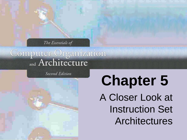The Essentials of

Computer Organization

**Second Edition** 

**Chapter 5** A Closer Look at Instruction Set Architectures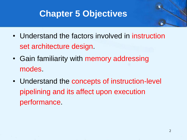# **Chapter 5 Objectives**

- Understand the factors involved in instruction set architecture design.
- Gain familiarity with memory addressing modes.
- Understand the concepts of instruction-level pipelining and its affect upon execution performance.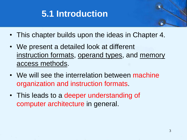# **5.1 Introduction**

- This chapter builds upon the ideas in Chapter 4.
- We present a detailed look at different instruction formats, operand types, and memory access methods.
- We will see the interrelation between machine organization and instruction formats.
- This leads to a deeper understanding of computer architecture in general.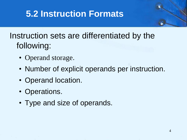## Instruction sets are differentiated by the following:

- Operand storage.
- Number of explicit operands per instruction.
- Operand location.
- Operations.
- Type and size of operands.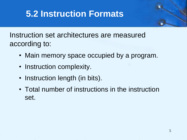Instruction set architectures are measured according to:

- Main memory space occupied by a program.
- Instruction complexity.
- Instruction length (in bits).
- Total number of instructions in the instruction set.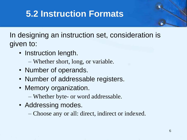In designing an instruction set, consideration is given to:

- Instruction length.
	- Whether short, long, or variable.
- Number of operands.
- Number of addressable registers.
- Memory organization.
	- Whether byte- or word addressable.
- Addressing modes.
	- Choose any or all: direct, indirect or indexed.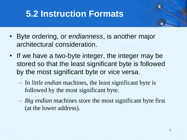- Byte ordering, or *endianness*, is another major architectural consideration.
- If we have a two-byte integer, the integer may be stored so that the least significant byte is followed by the most significant byte or vice versa.
	- In *little endian* machines, the least significant byte is followed by the most significant byte.
	- *Big endian* machines store the most significant byte first (at the lower address).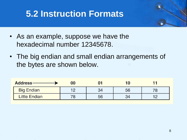- As an example, suppose we have the hexadecimal number 12345678.
- The big endian and small endian arrangements of the bytes are shown below.

| <b>Address-</b>      | 00  |    |      |  |
|----------------------|-----|----|------|--|
| <b>Big Endian</b>    | 10  |    | 56   |  |
| <b>Little Endian</b> | 70. | 56 | ו כי |  |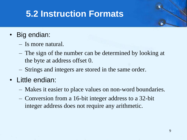- Big endian:
	- Is more natural.
	- The sign of the number can be determined by looking at the byte at address offset 0.
	- Strings and integers are stored in the same order.
- Little endian:
	- Makes it easier to place values on non-word boundaries.
	- Conversion from a 16-bit integer address to a 32-bit integer address does not require any arithmetic.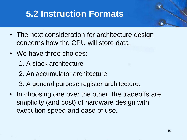- The next consideration for architecture design concerns how the CPU will store data.
- We have three choices:
	- 1. A stack architecture
	- 2. An accumulator architecture
	- 3. A general purpose register architecture.
- In choosing one over the other, the tradeoffs are simplicity (and cost) of hardware design with execution speed and ease of use.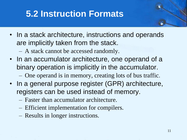- In a stack architecture, instructions and operands are implicitly taken from the stack.
	- A stack cannot be accessed randomly.
- In an accumulator architecture, one operand of a binary operation is implicitly in the accumulator.
	- One operand is in memory, creating lots of bus traffic.
- In a general purpose register (GPR) architecture, registers can be used instead of memory.
	- Faster than accumulator architecture.
	- Efficient implementation for compilers.
	- Results in longer instructions.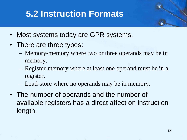- Most systems today are GPR systems.
- There are three types:
	- Memory-memory where two or three operands may be in memory.
	- Register-memory where at least one operand must be in a register.
	- Load-store where no operands may be in memory.
- The number of operands and the number of available registers has a direct affect on instruction length.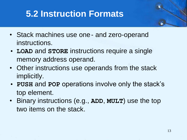- Stack machines use one and zero-operand instructions.
- **LOAD** and **STORE** instructions require a single memory address operand.
- Other instructions use operands from the stack implicitly.
- **PUSH** and **POP** operations involve only the stack's top element.
- Binary instructions (e.g., **ADD**, **MULT**) use the top two items on the stack.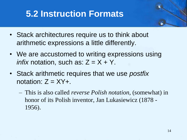- Stack architectures require us to think about arithmetic expressions a little differently.
- We are accustomed to writing expressions using *infix* notation, such as:  $Z = X + Y$ .
- Stack arithmetic requires that we use *postfix* notation:  $Z = XY +$ .
	- This is also called *reverse Polish notation*, (somewhat) in honor of its Polish inventor, Jan Lukasiewicz (1878 - 1956).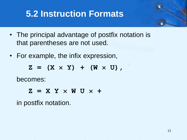- The principal advantage of postfix notation is that parentheses are not used.
- For example, the infix expression,

 $Z = (X \times Y) + (W \times U)$ 

becomes:

 $Z = X Y \times W U \times +$ 

in postfix notation.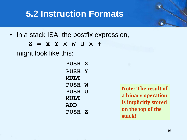• In a stack ISA, the postfix expression,

 $Z = X Y \times W U \times +$ 

might look like this:

**PUSH X PUSH Y MULT PUSH W PUSH U MULT ADD PUSH Z**

**Note: The result of a binary operation is implicitly stored on the top of the stack!**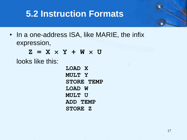• In a one-address ISA, like MARIE, the infix expression,

 $Z = X \times Y + W \times U$ 

looks like this:

**LOAD X MULT Y STORE TEMP LOAD W MULT U ADD TEMP STORE Z**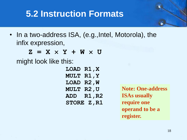• In a two-address ISA, (e.g., Intel, Motorola), the infix expression,

 $Z = X \times Y + W \times U$ 

might look like this:

**LOAD R1,X MULT R1,Y LOAD R2,W MULT R2,U ADD R1,R2 STORE Z,R1**

**Note: One-address ISAs usually require one operand to be a register.**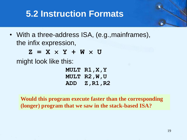• With a three-address ISA, (e.g., mainframes), the infix expression,

 $Z = X \times Y + W \times U$ 

might look like this:

**MULT R1,X,Y MULT R2,W,U ADD Z,R1,R2**

**Would this program execute faster than the corresponding (longer) program that we saw in the stack-based ISA?**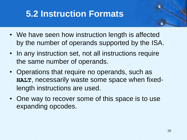- We have seen how instruction length is affected by the number of operands supported by the ISA.
- In any instruction set, not all instructions require the same number of operands.
- Operations that require no operands, such as **HALT**, necessarily waste some space when fixedlength instructions are used.
- One way to recover some of this space is to use expanding opcodes.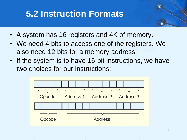- A system has 16 registers and 4K of memory.
- We need 4 bits to access one of the registers. We also need 12 bits for a memory address.
- If the system is to have 16-bit instructions, we have two choices for our instructions:

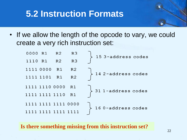• If we allow the length of the opcode to vary, we could create a very rich instruction set:



**Is there something missing from this instruction set?**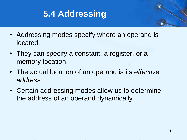

- Addressing modes specify where an operand is located.
- They can specify a constant, a register, or a memory location.
- The actual location of an operand is its *effective address*.
- Certain addressing modes allow us to determine the address of an operand dynamically.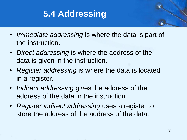

- *Immediate addressing* is where the data is part of the instruction.
- *Direct addressing* is where the address of the data is given in the instruction.
- *Register addressing* is where the data is located in a register.
- *Indirect addressing* gives the address of the address of the data in the instruction.
- *Register indirect addressing* uses a register to store the address of the address of the data.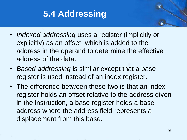

- *Indexed addressing* uses a register (implicitly or explicitly) as an offset, which is added to the address in the operand to determine the effective address of the data.
- *Based addressing* is similar except that a base register is used instead of an index register.
- The difference between these two is that an index register holds an offset relative to the address given in the instruction, a base register holds a base address where the address field represents a displacement from this base.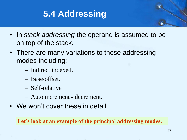

- In *stack addressing* the operand is assumed to be on top of the stack.
- There are many variations to these addressing modes including:
	- Indirect indexed.
	- Base/offset.
	- Self-relative
	- Auto increment decrement.
- We won't cover these in detail.

**Let's look at an example of the principal addressing modes.**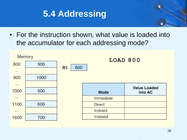

• For the instruction shown, what value is loaded into the accumulator for each addressing mode?



28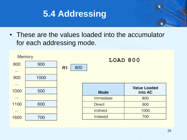

• These are the values loaded into the accumulator for each addressing mode.

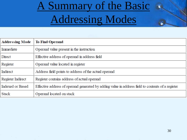# A Summary of the Basic Addressing Modes

| <b>Addressing Mode</b> | <b>To Find Operand</b>                                                                            |
|------------------------|---------------------------------------------------------------------------------------------------|
| Immediate              | Operand value present in the instruction                                                          |
| Direct                 | Effective address of operand in address field                                                     |
| Register               | Operand value located in register                                                                 |
| Indirect               | Address field points to address of the actual operand                                             |
| Register Indirect      | Register contains address of actual operand                                                       |
| Indexed or Based       | Effective address of operand generated by adding value in address field to contents of a register |
| <b>Stack</b>           | Operand located on stack                                                                          |

 $\mathbf{G}$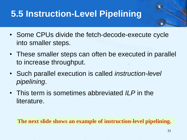- Some CPUs divide the fetch-decode-execute cycle into smaller steps.
- These smaller steps can often be executed in parallel to increase throughput.
- Such parallel execution is called *instruction-level pipelining*.
- This term is sometimes abbreviated *ILP* in the literature.

**The next slide shows an example of instruction-level pipelining.**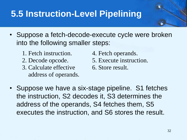- Suppose a fetch-decode-execute cycle were broken into the following smaller steps:
	- 1. Fetch instruction. 4. Fetch operands.
	-
	- 3. Calculate effective 6. Store result. address of operands.
- - 2. Decode opcode. 5. Execute instruction.
		-

• Suppose we have a six-stage pipeline. S1 fetches the instruction, S2 decodes it, S3 determines the address of the operands, S4 fetches them, S5 executes the instruction, and S6 stores the result.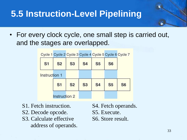• For every clock cycle, one small step is carried out, and the stages are overlapped.

|               | Cycle 1 Cycle 2 Cycle 3 Cycle 4 Cycle 5 Cycle 6 Cycle 7 |                |           |           |           |                |  |
|---------------|---------------------------------------------------------|----------------|-----------|-----------|-----------|----------------|--|
| <b>S1</b>     | <b>S2</b>                                               | <b>S3</b>      | <b>S4</b> | <b>S5</b> | <b>S6</b> |                |  |
| Instruction 1 |                                                         |                |           |           |           |                |  |
|               | S <sub>1</sub>                                          | S <sub>2</sub> | <b>S3</b> | <b>S4</b> | <b>S5</b> | S <sub>6</sub> |  |
|               | Instruction 2                                           |                |           |           |           |                |  |

- S1. Fetch instruction. S4. Fetch operands.
- S2. Decode opcode. S5. Execute.
- S3. Calculate effective S6. Store result. address of operands.
-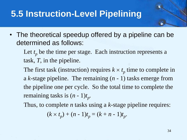• The theoretical speedup offered by a pipeline can be determined as follows:

Let  $t_p$  be the time per stage. Each instruction represents a task, *T*, in the pipeline.

The first task (instruction) requires  $k \times t_p$  time to complete in a *k*-stage pipeline. The remaining (*n* - 1) tasks emerge from the pipeline one per cycle. So the total time to complete the remaining tasks is (*n* - 1)*t<sup>p</sup> .*

Thus, to complete *n* tasks using a *k*-stage pipeline requires:

$$
(k \times t_p) + (n-1)t_p = (k+n-1)t_p.
$$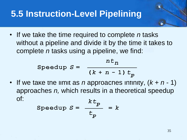• If we take the time required to complete *n* tasks without a pipeline and divide it by the time it takes to complete *n* tasks using a pipeline, we find:

$$
\text{Speedup } S = \frac{nt_n}{(k+n-1) t_p}
$$

If we take the limit as *n* approaches infinity,  $(k + n - 1)$ approaches *n,* which results in a theoretical speedup of: $7 - 1$ 

Speedup 
$$
S = \frac{KL_p}{t_p} = k
$$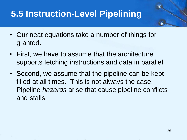- Our neat equations take a number of things for granted.
- First, we have to assume that the architecture supports fetching instructions and data in parallel.
- Second, we assume that the pipeline can be kept filled at all times. This is not always the case. Pipeline *hazards* arise that cause pipeline conflicts and stalls.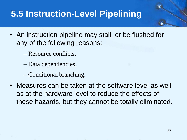- An instruction pipeline may stall, or be flushed for any of the following reasons:
	- Resource conflicts.
	- Data dependencies.
	- Conditional branching.
- Measures can be taken at the software level as well as at the hardware level to reduce the effects of these hazards, but they cannot be totally eliminated.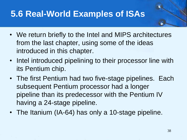- We return briefly to the Intel and MIPS architectures from the last chapter, using some of the ideas introduced in this chapter.
- Intel introduced pipelining to their processor line with its Pentium chip.
- The first Pentium had two five-stage pipelines. Each subsequent Pentium processor had a longer pipeline than its predecessor with the Pentium IV having a 24-stage pipeline.
- The Itanium (IA-64) has only a 10-stage pipeline.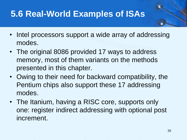- Intel processors support a wide array of addressing modes.
- The original 8086 provided 17 ways to address memory, most of them variants on the methods presented in this chapter.
- Owing to their need for backward compatibility, the Pentium chips also support these 17 addressing modes.
- The Itanium, having a RISC core, supports only one: register indirect addressing with optional post increment.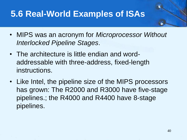- MIPS was an acronym for *Microprocessor Without Interlocked Pipeline Stages*.
- The architecture is little endian and wordaddressable with three-address, fixed-length instructions.
- Like Intel, the pipeline size of the MIPS processors has grown: The R2000 and R3000 have five-stage pipelines.; the R4000 and R4400 have 8-stage pipelines.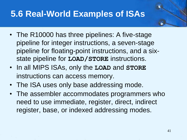- The R10000 has three pipelines: A five-stage pipeline for integer instructions, a seven-stage pipeline for floating-point instructions, and a sixstate pipeline for **LOAD/STORE** instructions.
- In all MIPS ISAs, only the **LOAD** and **STORE** instructions can access memory.
- The ISA uses only base addressing mode.
- The assembler accommodates programmers who need to use immediate, register, direct, indirect register, base, or indexed addressing modes.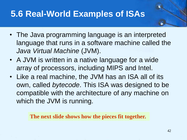- The Java programming language is an interpreted language that runs in a software machine called the *Java Virtual Machine* (JVM).
- A JVM is written in a native language for a wide array of processors, including MIPS and Intel.
- Like a real machine, the JVM has an ISA all of its own, called *bytecode*. This ISA was designed to be compatible with the architecture of any machine on which the JVM is running.

**The next slide shows how the pieces fit together.**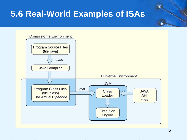

43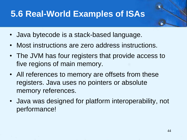- Java bytecode is a stack-based language.
- Most instructions are zero address instructions.
- The JVM has four registers that provide access to five regions of main memory.
- All references to memory are offsets from these registers. Java uses no pointers or absolute memory references.
- Java was designed for platform interoperability, not performance!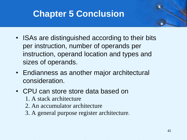# **Chapter 5 Conclusion**

- ISAs are distinguished according to their bits per instruction, number of operands per instruction, operand location and types and sizes of operands.
- Endianness as another major architectural consideration.
- CPU can store store data based on
	- 1. A stack architecture
	- 2. An accumulator architecture
	- 3. A general purpose register architecture.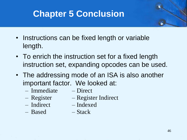# **Chapter 5 Conclusion**

- Instructions can be fixed length or variable length.
- To enrich the instruction set for a fixed length instruction set, expanding opcodes can be used.
- The addressing mode of an ISA is also another important factor. We looked at:
	- Immediate Direct
		-
- 
- Register Register Indirect
- 
- Indirect Indexed
- Based Stack